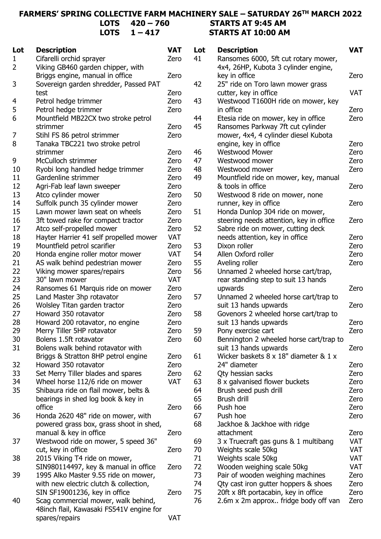## **FARMERS' SPRING COLLECTIVE FARM MACHINERY SALE – SATURDAY 26TH MARCH 2022 LOTS 420 – 760 STARTS AT 9:45 AM**  $1 - 417$

| Lot            | <b>Description</b>                       | <b>VAT</b> | Lot | <b>Description</b>                              | <b>VAT</b> |
|----------------|------------------------------------------|------------|-----|-------------------------------------------------|------------|
| 1              | Cifarelli orchid sprayer                 | Zero       | 41  | Ransomes 6000, 5ft cut rotary mower,            |            |
| $\overline{2}$ | Viking GB460 garden chipper, with        |            |     | 4x4, 26HP, Kubota 3 cylinder engine,            |            |
|                | Briggs engine, manual in office          | Zero       |     | key in office                                   | Zero       |
| 3              | Sovereign garden shredder, Passed PAT    |            | 42  | 25" ride on Toro lawn mower grass               |            |
|                | test                                     | Zero       |     | cutter, key in office                           | <b>VAT</b> |
|                | Petrol hedge trimmer                     | Zero       | 43  |                                                 |            |
| 4              | Petrol hedge trimmer                     | Zero       |     | Westwood T1600H ride on mower, key<br>in office | Zero       |
| 5<br>6         | Mountfield MB22CX two stroke petrol      |            | 44  |                                                 | Zero       |
|                |                                          |            | 45  | Etesia ride on mower, key in office             |            |
|                | strimmer                                 | Zero       |     | Ransomes Parkway 7ft cut cylinder               |            |
| 7              | Stihl FS 86 petrol strimmer              | Zero       |     | mower, 4x4, 4 cylinder diesel Kubota            |            |
| 8              | Tanaka TBC221 two stroke petrol          |            |     | engine, key in office                           | Zero       |
|                | strimmer                                 | Zero       | 46  | <b>Westwood Mower</b>                           | Zero       |
| 9              | McCulloch strimmer                       | Zero       | 47  | Westwood mower                                  | Zero       |
| 10             | Ryobi long handled hedge trimmer         | Zero       | 48  | Westwood mower                                  | Zero       |
| 11             | Gardenline strimmer                      | Zero       | 49  | Mountfield ride on mower, key, manual           |            |
| 12             | Agri-Fab leaf lawn sweeper               | Zero       |     | & tools in office                               | Zero       |
| 13             | Atco cylinder mower                      | Zero       | 50  | Westwood 8 ride on mower, none                  |            |
| 14             | Suffolk punch 35 cylinder mower          | Zero       |     | runner, key in office                           | Zero       |
| 15             | Lawn mower lawn seat on wheels           | Zero       | 51  | Honda Dunlop 304 ride on mower,                 |            |
| 16             | 3ft towed rake for compact tractor       | Zero       |     | steering needs attention, key in office         | Zero       |
| 17             | Atco self-propelled mower                | Zero       | 52  | Sabre ride on mower, cutting deck               |            |
| 18             | Hayter Harrier 41 self propelled mower   | <b>VAT</b> |     | needs attention, key in office                  | Zero       |
| 19             | Mountfield petrol scarifier              | Zero       | 53  | Dixon roller                                    | Zero       |
| 20             | Honda engine roller motor mower          | <b>VAT</b> | 54  | Allen Oxford roller                             | Zero       |
| 21             | AS walk behind pedestrian mower          | Zero       | 55  | Aveling roller                                  | Zero       |
| 22             | Viking mower spares/repairs              | Zero       | 56  | Unnamed 2 wheeled horse cart/trap,              |            |
| 23             | 30" lawn mower                           | <b>VAT</b> |     | rear standing step to suit 13 hands             |            |
| 24             | Ransomes 61 Marquis ride on mower        | Zero       |     | upwards                                         | Zero       |
| 25             | Land Master 3hp rotavator                | Zero       | 57  | Unnamed 2 wheeled horse cart/trap to            |            |
| 26             | Wolsley Titan garden tractor             | Zero       |     | suit 13 hands upwards                           | Zero       |
| 27             | Howard 350 rotavator                     | Zero       | 58  | Govenors 2 wheeled horse cart/trap to           |            |
| 28             | Howard 200 rotavator, no engine          | Zero       |     | suit 13 hands upwards                           | Zero       |
| 29             | Merry Tiller 5HP rotavator               | Zero       | 59  | Pony exercise cart                              | Zero       |
| 30             | Bolens 1.5ft rotavator                   | Zero       | 60  | Bennington 2 wheeled horse cart/trap to         |            |
| 31             | Bolens walk behind rotavator with        |            |     | suit 13 hands upwards                           | Zero       |
|                | Briggs & Stratton 8HP petrol engine      | Zero       | 61  | Wicker baskets 8 x 18" diameter & 1 x           |            |
| 32             | Howard 350 rotavator                     | Zero       |     | 24" diameter                                    | Zero       |
| 33             | Set Merry Tiller blades and spares       | Zero       | 62  | Qty hessian sacks                               | Zero       |
| 34             | Wheel horse 112/6 ride on mower          | <b>VAT</b> | 63  | 8 x galvanised flower buckets                   | Zero       |
| 35             | Shibaura ride on flail mower, belts &    |            | 64  | Brush seed push drill                           | Zero       |
|                | bearings in shed log book & key in       |            | 65  | Brush drill                                     | Zero       |
|                | office                                   | Zero       | 66  | Push hoe                                        | Zero       |
| 36             | Honda 2620 48" ride on mower, with       |            | 67  | Push hoe                                        | Zero       |
|                | powered grass box, grass shoot in shed,  |            | 68  | Jackhoe & Jackhoe with ridge                    |            |
|                | manual & key in office                   | Zero       |     | attachment                                      | Zero       |
| 37             | Westwood ride on mower, 5 speed 36"      |            | 69  | 3 x Truecraft gas guns & 1 multibang            | <b>VAT</b> |
|                | cut, key in office                       | Zero       | 70  | Weights scale 50kg                              | <b>VAT</b> |
| 38             | 2015 Viking T4 ride on mower,            |            | 71  | Weights scale 50kg                              | <b>VAT</b> |
|                | SIN980114497, key & manual in office     | Zero       | 72  | Wooden weighing scale 50kg                      | <b>VAT</b> |
| 39             | 1995 Alko Master 9.55 ride on mower,     |            | 73  | Pair of wooden weighing machines                | Zero       |
|                | with new electric clutch & collection,   |            | 74  | Qty cast iron gutter hoppers & shoes            | Zero       |
|                | SIN SF19001236, key in office            | Zero       | 75  | 20ft x 8ft portacabin, key in office            | Zero       |
| 40             | Scag commercial mower, walk behind,      |            | 76  | 2.6m x 2m approx fridge body off van            | Zero       |
|                | 48inch flail, Kawasaki FS541V engine for |            |     |                                                 |            |
|                | spares/repairs                           | <b>VAT</b> |     |                                                 |            |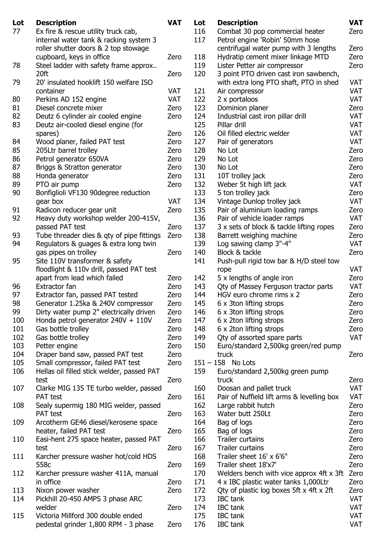| Lot | <b>Description</b>                         | <b>VAT</b> | Lot | <b>Description</b>                         | <b>VAT</b> |
|-----|--------------------------------------------|------------|-----|--------------------------------------------|------------|
| 77  | Ex fire & rescue utility truck cab,        |            | 116 | Combat 30 pop commercial heater            | Zero       |
|     | internal water tank & racking system 3     |            | 117 | Petrol engine 'Robin' 50mm hose            |            |
|     | roller shutter doors & 2 top stowage       |            |     | centrifugal water pump with 3 lengths      | Zero       |
|     | cupboard, keys in office                   | Zero       | 118 | Hydratip cement mixer linkage MTD          | Zero       |
| 78  | Steel ladder with safety frame approx      |            | 119 | Lister Petter air compressor               | Zero       |
|     | 20ft                                       | Zero       | 120 | 3 point PTO driven cast iron sawbench,     |            |
| 79  | 20' insulated hooklift 150 welfare ISO     |            |     | with extra long PTO shaft, PTO in shed     | <b>VAT</b> |
|     | container                                  | <b>VAT</b> | 121 | Air compressor                             | <b>VAT</b> |
| 80  |                                            | <b>VAT</b> | 122 |                                            | <b>VAT</b> |
|     | Perkins AD 152 engine                      |            |     | 2 x portaloos                              |            |
| 81  | Diesel concrete mixer                      | Zero       | 123 | Dominion planer                            | Zero       |
| 82  | Deutz 6 cylinder air cooled engine         | Zero       | 124 | Industrial cast iron pillar drill          | <b>VAT</b> |
| 83  | Deutz air-cooled diesel engine (for        |            | 125 | Pillar drill                               | <b>VAT</b> |
|     | spares)                                    | Zero       | 126 | Oil filled electric welder                 | <b>VAT</b> |
| 84  | Wood planer, failed PAT test               | Zero       | 127 | Pair of generators                         | <b>VAT</b> |
| 85  | 205Ltr barrel trolley                      | Zero       | 128 | No Lot                                     | Zero       |
| 86  | Petrol generator 650VA                     | Zero       | 129 | No Lot                                     | Zero       |
| 87  | Briggs & Stratton generator                | Zero       | 130 | No Lot                                     | Zero       |
| 88  | Honda generator                            | Zero       | 131 | 10T trolley jack                           | Zero       |
| 89  | PTO air pump                               | Zero       | 132 | Weber 5t high lift jack                    | <b>VAT</b> |
| 90  | Bonfiglioli VF130 90degree reduction       |            | 133 | 5 ton trolley jack                         | Zero       |
|     | gear box                                   | <b>VAT</b> | 134 | Vintage Dunlop trolley jack                | <b>VAT</b> |
| 91  | Radicon reducer gear unit                  | Zero       | 135 | Pair of aluminium loading ramps            | Zero       |
| 92  | Heavy duty workshop welder 200-415V,       |            | 136 | Pair of vehicle loader ramps               | <b>VAT</b> |
|     | passed PAT test                            | Zero       | 137 | 3 x sets of block & tackle lifting ropes   | Zero       |
| 93  |                                            |            | 138 |                                            | Zero       |
|     | Tube threader dies & qty of pipe fittings  | Zero       |     | Barrett weighing machine                   |            |
| 94  | Regulators & guages & extra long twin      |            | 139 | Log sawing clamp 3"-4"                     | <b>VAT</b> |
|     | gas pipes on trolley                       | Zero       | 140 | Block & tackle                             | Zero       |
| 95  | Site 110V transformer & safety             |            | 141 | Push-pull rigid tow bar & H/D steel tow    |            |
|     | floodlight & 110v drill, passed PAT test   |            |     | rope                                       | <b>VAT</b> |
|     | apart from lead which failed               | Zero       | 142 | 5 x lengths of angle iron                  | Zero       |
| 96  | Extractor fan                              | Zero       | 143 | Qty of Massey Ferguson tractor parts       | <b>VAT</b> |
| 97  | Extractor fan, passed PAT tested           | Zero       | 144 | HGV euro chrome rims x 2                   | Zero       |
| 98  | Generator 1.25ka & 240V compressor         | Zero       | 145 | 6 x 3ton lifting strops                    | Zero       |
| 99  | Dirty water pump 2" electrically driven    | Zero       | 146 | 6 x 3ton lifting strops                    | Zero       |
| 100 | Honda petrol generator $240V + 110V$       | Zero       | 147 | 6 x 2ton lifting strops                    | Zero       |
| 101 | Gas bottle trolley                         | Zero       | 148 | 6 x 2ton lifting strops                    | Zero       |
| 102 | Gas bottle trolley                         | Zero       | 149 | Oty of assorted spare parts                | <b>VAT</b> |
| 103 | Petter engine                              | Zero       | 150 | Euro/standard 2,500kg green/red pump       |            |
| 104 | Draper band saw, passed PAT test           | Zero       |     | truck                                      | Zero       |
|     |                                            |            |     | $151 - 158$ No Lots                        |            |
| 105 | Small compressor, failed PAT test          | Zero       |     |                                            |            |
| 106 | Hellas oil filled stick welder, passed PAT |            | 159 | Euro/standard 2,500kg green pump           |            |
|     | test                                       | Zero       |     | truck                                      | Zero       |
| 107 | Clarke MIG 135 TE turbo welder, passed     |            | 160 | Doosan and pallet truck                    | <b>VAT</b> |
|     | PAT test                                   | Zero       | 161 | Pair of Nuffield lift arms & levelling box | VAT        |
| 108 | Sealy supermig 180 MIG welder, passed      |            | 162 | Large rabbit hutch                         | Zero       |
|     | PAT test                                   | Zero       | 163 | Water butt 250Lt                           | Zero       |
| 109 | Arcotherm GE46 diesel/kerosene space       |            | 164 | Bag of logs                                | Zero       |
|     | heater, failed PAT test                    | Zero       | 165 | Bag of logs                                | Zero       |
| 110 | Easi-hent 275 space heater, passed PAT     |            | 166 | Trailer curtains                           | Zero       |
|     | test                                       | Zero       | 167 | Trailer curtains                           | Zero       |
| 111 | Karcher pressure washer hot/cold HDS       |            | 168 | Trailer sheet 16' x 6'6"                   | Zero       |
|     | 558c                                       | Zero       | 169 | Trailer sheet 18'x7'                       | Zero       |
| 112 | Karcher pressure washer 411A, manual       |            | 170 | Welders bench with vice approx 4ft x 3ft   | Zero       |
|     |                                            |            | 171 |                                            |            |
|     | in office                                  | Zero       |     | 4 x IBC plastic water tanks 1,000Ltr       | Zero       |
| 113 | Nixon power washer                         | Zero       | 172 | Qty of plastic log boxes 5ft x 4ft x 2ft   | Zero       |
| 114 | Pickhill 20-450 AMPS 3 phase ARC           |            | 173 | <b>IBC</b> tank                            | <b>VAT</b> |
|     | welder                                     | Zero       | 174 | <b>IBC</b> tank                            | <b>VAT</b> |
| 115 | Victoria Millford 300 double ended         |            | 175 | <b>IBC</b> tank                            | <b>VAT</b> |
|     | pedestal grinder 1,800 RPM - 3 phase       | Zero       | 176 | <b>IBC</b> tank                            | <b>VAT</b> |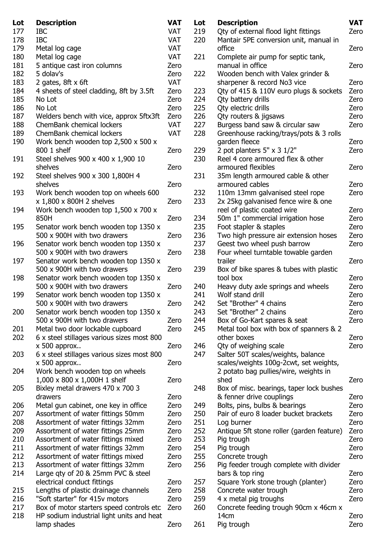| Lot | <b>Description</b>                              | <b>VAT</b> | Lot | <b>Description</b>                        | <b>VAT</b> |
|-----|-------------------------------------------------|------------|-----|-------------------------------------------|------------|
| 177 | <b>IBC</b>                                      | <b>VAT</b> | 219 | Oty of external flood light fittings      | Zero       |
| 178 | <b>IBC</b>                                      | <b>VAT</b> | 220 | Mantair 5PE conversion unit, manual in    |            |
| 179 | Metal log cage                                  | <b>VAT</b> |     | office                                    | Zero       |
| 180 | Metal log cage                                  | <b>VAT</b> | 221 | Complete air pump for septic tank,        |            |
| 181 | 5 antique cast iron columns                     | Zero       |     | manual in office                          | Zero       |
| 182 | 5 dolay's                                       | Zero       | 222 | Wooden bench with Valex grinder &         |            |
| 183 | 2 gates, $8ft \times 6ft$                       | <b>VAT</b> |     | sharpener & record No3 vice               | Zero       |
| 184 | 4 sheets of steel cladding, 8ft by 3.5ft        | Zero       | 223 | Qty of 415 & 110V euro plugs & sockets    | Zero       |
| 185 | No Lot                                          | Zero       | 224 | Qty battery drills                        | Zero       |
| 186 | No Lot                                          | Zero       | 225 | Qty electric drills                       | Zero       |
| 187 | Welders bench with vice, approx 5ftx3ft         | Zero       | 226 | Qty routers & jigsaws                     | Zero       |
| 188 | ChemBank chemical lockers                       | <b>VAT</b> | 227 | Burgess band saw & circular saw           | Zero       |
| 189 | ChemBank chemical lockers                       | <b>VAT</b> | 228 | Greenhouse racking/trays/pots & 3 rolls   |            |
| 190 | Work bench wooden top $2,500 \times 500 \times$ |            |     | garden fleece                             | Zero       |
|     | 800 1 shelf                                     | Zero       | 229 |                                           | Zero       |
|     |                                                 |            |     | 2 pot planters $5'' \times 3 \frac{1}{2}$ |            |
| 191 | Steel shelves 900 x 400 x 1,900 10              |            | 230 | Reel 4 core armoured flex & other         |            |
|     | shelves                                         | Zero       |     | armoured flexibles                        | Zero       |
| 192 | Steel shelves 900 x 300 1,800H 4                |            | 231 | 35m length armoured cable & other         |            |
|     | shelves                                         | Zero       |     | armoured cables                           | Zero       |
| 193 | Work bench wooden top on wheels 600             |            | 232 | 110m 13mm galvanised steel rope           | Zero       |
|     | x 1,800 x 800H 2 shelves                        | Zero       | 233 | 2x 25kg galvanised fence wire & one       |            |
| 194 | Work bench wooden top $1,500 \times 700 \times$ |            |     | reel of plastic coated wire               | Zero       |
|     | 850H                                            | Zero       | 234 | 50m 1" commercial irrigation hose         | Zero       |
| 195 | Senator work bench wooden top 1350 x            |            | 235 | Foot stapler & staples                    | Zero       |
|     | 500 x 900H with two drawers                     | Zero       | 236 | Two high pressure air extension hoses     | Zero       |
| 196 | Senator work bench wooden top 1350 x            |            | 237 | Geest two wheel push barrow               | Zero       |
|     | 500 x 900H with two drawers                     | Zero       | 238 | Four wheel turntable towable garden       |            |
| 197 | Senator work bench wooden top 1350 x            |            |     | trailer                                   | Zero       |
|     | 500 x 900H with two drawers                     | Zero       | 239 | Box of bike spares & tubes with plastic   |            |
| 198 | Senator work bench wooden top 1350 x            |            |     | tool box                                  | Zero       |
|     | 500 x 900H with two drawers                     | Zero       | 240 | Heavy duty axle springs and wheels        | Zero       |
| 199 | Senator work bench wooden top 1350 x            |            | 241 | Wolf stand drill                          | Zero       |
|     | 500 x 900H with two drawers                     | Zero       | 242 | Set "Brother" 4 chains                    | Zero       |
| 200 | Senator work bench wooden top 1350 x            |            | 243 | Set "Brother" 2 chains                    | Zero       |
|     | 500 x 900H with two drawers                     | Zero       | 244 | Box of Go-Kart spares & seat              | Zero       |
| 201 | Metal two door lockable cupboard                | Zero       | 245 | Metal tool box with box of spanners & 2   |            |
| 202 | 6 x steel stillages various sizes most 800      |            |     | other boxes                               | Zero       |
|     | $x$ 500 approx                                  | Zero       | 246 | Qty of weighing scale                     | Zero       |
| 203 | 6 x steel stillages various sizes most 800      |            | 247 | Salter 50T scales/weights, balance        |            |
|     | $x$ 500 approx                                  | Zero       |     | scales/weights 100g-2cwt, set weights,    |            |
| 204 | Work bench wooden top on wheels                 |            |     | 2 potato bag pullies/wire, weights in     |            |
|     | 1,000 x 800 x 1,000H 1 shelf                    | Zero       |     | shed                                      | Zero       |
| 205 | Bixley metal drawers 470 x 700 3                |            | 248 | Box of misc. bearings, taper lock bushes  |            |
|     | drawers                                         | Zero       |     | & fenner drive couplings                  | Zero       |
| 206 |                                                 | Zero       | 249 | Bolts, pins, bulbs & bearings             | Zero       |
| 207 | Metal gun cabinet, one key in office            | Zero       | 250 | Pair of euro 8 loader bucket brackets     | Zero       |
|     | Assortment of water fittings 50mm               |            |     |                                           |            |
| 208 | Assortment of water fittings 32mm               | Zero       | 251 | Log burner                                | Zero       |
| 209 | Assortment of water fittings 25mm               | Zero       | 252 | Antique 5ft stone roller (garden feature) | Zero       |
| 210 | Assortment of water fittings mixed              | Zero       | 253 | Pig trough                                | Zero       |
| 211 | Assortment of water fittings 32mm               | Zero       | 254 | Pig trough                                | Zero       |
| 212 | Assortment of water fittings mixed              | Zero       | 255 | Concrete trough                           | Zero       |
| 213 | Assortment of water fittings 32mm               | Zero       | 256 | Pig feeder trough complete with divider   |            |
| 214 | Large qty of 20 & 25mm PVC & steel              |            |     | bars & top ring                           | Zero       |
|     | electrical conduct fittings                     | Zero       | 257 | Square York stone trough (planter)        | Zero       |
| 215 | Lengths of plastic drainage channels            | Zero       | 258 | Concrete water trough                     | Zero       |
| 216 | "Soft starter" for 415v motors                  | Zero       | 259 | 4 x metal pig troughs                     | Zero       |
| 217 | Box of motor starters speed controls etc        | Zero       | 260 | Concrete feeding trough 90cm x 46cm x     |            |
| 218 | HP sodium industrial light units and heat       |            |     | 14cm                                      | Zero       |
|     | lamp shades                                     | Zero       | 261 | Pig trough                                | Zero       |
|     |                                                 |            |     |                                           |            |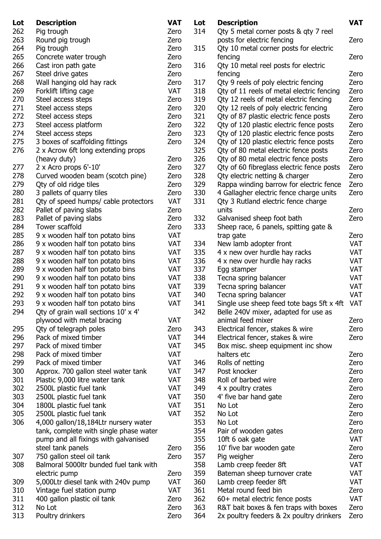| Lot | <b>Description</b>                     | <b>VAT</b> | Lot | <b>Description</b>                            | <b>VAT</b> |
|-----|----------------------------------------|------------|-----|-----------------------------------------------|------------|
| 262 | Pig trough                             | Zero       | 314 | Qty 5 metal corner posts & qty 7 reel         |            |
| 263 | Round pig trough                       | Zero       |     | posts for electric fencing                    | Zero       |
| 264 | Pig trough                             | Zero       | 315 | Qty 10 metal corner posts for electric        |            |
| 265 | Concrete water trough                  | Zero       |     | fencing                                       | Zero       |
| 266 | Cast iron path gate                    | Zero       | 316 | Qty 10 metal reel posts for electric          |            |
| 267 | Steel drive gates                      | Zero       |     | fencing                                       | Zero       |
| 268 | Wall hanging old hay rack              | Zero       | 317 | Qty 9 reels of poly electric fencing          | Zero       |
| 269 | Forklift lifting cage                  | <b>VAT</b> | 318 | Qty of 11 reels of metal electric fencing     | Zero       |
| 270 |                                        |            | 319 | Qty 12 reels of metal electric fencing        | Zero       |
|     | Steel access steps                     | Zero       |     |                                               |            |
| 271 | Steel access steps                     | Zero       | 320 | Qty 12 reels of poly electric fencing         | Zero       |
| 272 | Steel access steps                     | Zero       | 321 | Qty of 87 plastic electric fence posts        | Zero       |
| 273 | Steel access platform                  | Zero       | 322 | Qty of 120 plastic electric fence posts       | Zero       |
| 274 | Steel access steps                     | Zero       | 323 | Qty of 120 plastic electric fence posts       | Zero       |
| 275 | 3 boxes of scaffolding fittings        | Zero       | 324 | Qty of 120 plastic electric fence posts       | Zero       |
| 276 | 2 x Acrow 6ft long extending props     |            | 325 | Qty of 80 metal electric fence posts          | Zero       |
|     | (heavy duty)                           | Zero       | 326 | Qty of 80 metal electric fence posts          | Zero       |
| 277 | 2 x Acro props 6'-10'                  | Zero       | 327 | Qty of 60 fibreglass electric fence posts     | Zero       |
| 278 | Curved wooden beam (scotch pine)       | Zero       | 328 | Qty electric netting & charger                | Zero       |
| 279 | Qty of old ridge tiles                 | Zero       | 329 | Rappa winding barrow for electric fence       | Zero       |
| 280 | 3 pallets of quarry tiles              | Zero       | 330 | 4 Gallagher electric fence charge units       | Zero       |
| 281 | Qty of speed humps/ cable protectors   | <b>VAT</b> | 331 | Qty 3 Rutland electric fence charge           |            |
| 282 | Pallet of paving slabs                 | Zero       |     | units                                         | Zero       |
| 283 | Pallet of paving slabs                 | Zero       | 332 | Galvanised sheep foot bath                    | Zero       |
| 284 | Tower scaffold                         | Zero       | 333 | Sheep race, 6 panels, spitting gate &         |            |
| 285 | 9 x wooden half ton potato bins        | <b>VAT</b> |     | trap gate                                     | Zero       |
| 286 | 9 x wooden half ton potato bins        | <b>VAT</b> | 334 | New lamb adopter front                        | <b>VAT</b> |
| 287 | 9 x wooden half ton potato bins        | <b>VAT</b> | 335 | 4 x new over hurdle hay racks                 | <b>VAT</b> |
| 288 | 9 x wooden half ton potato bins        | <b>VAT</b> | 336 | 4 x new over hurdle hay racks                 | <b>VAT</b> |
| 289 | 9 x wooden half ton potato bins        | <b>VAT</b> | 337 | Egg stamper                                   | <b>VAT</b> |
| 290 | 9 x wooden half ton potato bins        | <b>VAT</b> | 338 |                                               | <b>VAT</b> |
| 291 |                                        |            |     | Tecna spring balancer                         |            |
|     | 9 x wooden half ton potato bins        | <b>VAT</b> | 339 | Tecna spring balancer                         | <b>VAT</b> |
| 292 | 9 x wooden half ton potato bins        | <b>VAT</b> | 340 | Tecna spring balancer                         | <b>VAT</b> |
| 293 | 9 x wooden half ton potato bins        | <b>VAT</b> | 341 | Single use sheep feed tote bags 5ft x 4ft VAT |            |
| 294 | Qty of grain wall sections 10' x 4'    |            | 342 | Belle 240V mixer, adapted for use as          |            |
|     | plywood with metal bracing             | <b>VAT</b> |     | animal feed mixer                             | Zero       |
| 295 | Qty of telegraph poles                 | Zero       | 343 | Electrical fencer, stakes & wire              | Zero       |
| 296 | Pack of mixed timber                   | <b>VAT</b> | 344 | Electrical fencer, stakes & wire              | Zero       |
| 297 | Pack of mixed timber                   | <b>VAT</b> | 345 | Box misc. sheep equipment inc show            |            |
| 298 | Pack of mixed timber                   | <b>VAT</b> |     | halters etc                                   | Zero       |
| 299 | Pack of mixed timber                   | <b>VAT</b> | 346 | Rolls of netting                              | Zero       |
| 300 | Approx. 700 gallon steel water tank    | <b>VAT</b> | 347 | Post knocker                                  | Zero       |
| 301 | Plastic 9,000 litre water tank         | <b>VAT</b> | 348 | Roll of barbed wire                           | Zero       |
| 302 | 2500L plastic fuel tank                | <b>VAT</b> | 349 | 4 x poultry crates                            | Zero       |
| 303 | 2500L plastic fuel tank                | <b>VAT</b> | 350 | 4' five bar hand gate                         | Zero       |
| 304 | 1800L plastic fuel tank                | <b>VAT</b> | 351 | No Lot                                        | Zero       |
| 305 | 2500L plastic fuel tank                | <b>VAT</b> | 352 | No Lot                                        | Zero       |
| 306 | 4,000 gallon/18,184Ltr nursery water   |            | 353 | No Lot                                        | Zero       |
|     | tank, complete with single phase water |            | 354 | Pair of wooden gates                          | Zero       |
|     | pump and all fixings with galvanised   |            | 355 | 10ft 6 oak gate                               | <b>VAT</b> |
|     | steel tank panels                      | Zero       | 356 | 10' five bar wooden gate                      | Zero       |
| 307 | 750 gallon steel oil tank              | Zero       | 357 | Pig weigher                                   | Zero       |
| 308 | Balmoral 5000ltr bunded fuel tank with |            | 358 | Lamb creep feeder 8ft                         | <b>VAT</b> |
|     |                                        | Zero       | 359 |                                               | <b>VAT</b> |
|     | electric pump                          |            |     | Bateman sheep turnover crate                  |            |
| 309 | 5,000Ltr diesel tank with 240v pump    | <b>VAT</b> | 360 | Lamb creep feeder 8ft                         | <b>VAT</b> |
| 310 | Vintage fuel station pump              | <b>VAT</b> | 361 | Metal round feed bin                          | Zero       |
| 311 | 400 gallon plastic oil tank            | Zero       | 362 | 60+ metal electric fence posts                | <b>VAT</b> |
| 312 | No Lot                                 | Zero       | 363 | R&T bait boxes & fen traps with boxes         | Zero       |
| 313 | Poultry drinkers                       | Zero       | 364 | 2x poultry feeders & 2x poultry drinkers      | Zero       |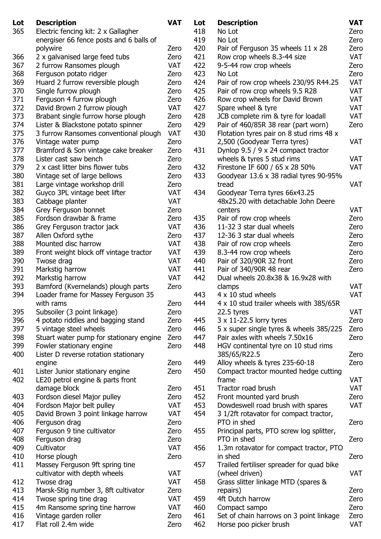| Lot | <b>Description</b>                                           | <b>VAT</b>         | Lot | <b>Description</b>                         | <b>VAT</b> |
|-----|--------------------------------------------------------------|--------------------|-----|--------------------------------------------|------------|
| 365 | Electric fencing kit: 2 x Gallagher                          |                    | 418 | No Lot                                     | Zero       |
|     | energiser 66 fence posts and 6 balls of                      |                    | 419 | No Lot                                     | Zero       |
|     | polywire                                                     | Zero               | 420 | Pair of Ferguson 35 wheels 11 x 28         | Zero       |
| 366 | 2 x galvanised large feed tubs                               | Zero               | 421 | Row crop wheels 8.3-44 size                | <b>VAT</b> |
| 367 | 2 furrow Ransomes plough                                     | <b>VAT</b>         | 422 | 9-5-44 row crop wheels                     | Zero       |
| 368 | Ferguson potato ridger                                       | Zero               | 423 | No Lot                                     | Zero       |
| 369 | Huard 2 furrow reversible plough                             | Zero               | 424 | Pair of row crop wheels 230/95 R44.25      | <b>VAT</b> |
| 370 | Single furrow plough                                         | Zero               | 425 | Pair of row crop wheels 9.5 R28            | <b>VAT</b> |
| 371 | Ferguson 4 furrow plough                                     | Zero               | 426 | Row crop wheels for David Brown            | VAT        |
| 372 | David Brown 2 furrow plough                                  | <b>VAT</b>         | 427 | Spare wheel & tyre                         | <b>VAT</b> |
| 373 | Brabant single furrow horse plough                           | Zero               | 428 | JCB complete rim & tyre for loadall        | <b>VAT</b> |
| 374 | Lister & Blackstone potato spinner                           | Zero               | 429 | Pair of 460/85R 38 rear (part worn)        | Zero       |
| 375 | 3 furrow Ransomes conventional plough                        | <b>VAT</b>         | 430 | Flotation tyres pair on 8 stud rims 48 x   |            |
| 376 |                                                              | Zero               |     |                                            | <b>VAT</b> |
|     | Vintage water pump                                           |                    |     | 2,500 (Goodyear Terra tyres)               |            |
| 377 | Bramford & Son vintage cake breaker<br>Lister cast saw bench | Zero               | 431 | Dynlop $9.5 / 9 \times 24$ compact tractor |            |
| 378 |                                                              | Zero               |     | wheels & tyres 5 stud rims                 | <b>VAT</b> |
| 379 | 2 x cast litter bins flower tubs                             | Zero               | 432 | Firestone IF 600 / 65 x 28 50%             | <b>VAT</b> |
| 380 | Vintage set of large bellows                                 | Zero               | 433 | Goodyear 13.6 x 38 radial tyres 90-95%     |            |
| 381 | Large vintage workshop drill                                 | Zero               |     | tread                                      | <b>VAT</b> |
| 382 | Guyco 3PL vintage beet lifter                                | <b>VAT</b>         | 434 | Goodyear Terra tyres 66x43.25              |            |
| 383 | Cabbage planter                                              | <b>VAT</b>         |     | 48x25.20 with detachable John Deere        |            |
| 384 | Grey Ferguson bonnet                                         | Zero               |     | centers                                    | <b>VAT</b> |
| 385 | Fordson drawbar & frame                                      | Zero               | 435 | Pair of row crop wheels                    | Zero       |
| 386 | Grey Ferguson tractor jack                                   | <b>VAT</b>         | 436 | 11-32 3 star dual wheels                   | Zero       |
| 387 | Allen Oxford sythe                                           | Zero               | 437 | 12-36 3 star dual wheels                   | Zero       |
| 388 | Mounted disc harrow                                          | <b>VAT</b>         | 438 | Pair of row crop wheels                    | Zero       |
| 389 | Front weight block off vintage tractor                       | <b>VAT</b>         | 439 | 8.3-44 row crop wheels                     | Zero       |
| 390 | Twose drag                                                   | <b>VAT</b>         | 440 | Pair of 320/90R 32 front                   | Zero       |
| 391 | Markstig harrow                                              | <b>VAT</b>         | 441 | Pair of 340/90R 48 rear                    | Zero       |
| 392 | Markstig harrow                                              | <b>VAT</b>         | 442 | Dual wheels 20.8x38 & 16.9x28 with         |            |
| 393 | Bamford (Kvernelands) plough parts                           | Zero               |     | clamps                                     | <b>VAT</b> |
| 394 | Loader frame for Massey Ferguson 35                          |                    | 443 | $4 \times 10$ stud wheels                  | <b>VAT</b> |
|     | with rams                                                    | Zero               | 444 | 4 x 10 stud trailer wheels with 385/65R    |            |
| 395 | Subsoiler (3 point linkage)                                  | Zero               |     | 22.5 tyres                                 | <b>VAT</b> |
| 396 | 4 potato riddles and bagging stand                           | Zero               | 445 | $3 \times 11$ -22.5 lorry tyres            | Zero       |
| 397 | 5 vintage steel wheels                                       | Zero               | 446 | 5 x super single tyres & wheels 385/225    | Zero       |
| 398 | Stuart water pump for stationary engine                      | Zero               | 447 | Pair axles with wheels 7.50x16             | Zero       |
| 399 | Fowler stationary engine                                     | Zero               | 448 | HGV continental tyre on 10 stud rims       |            |
| 400 | Lister D reverse rotation stationary                         |                    |     | 385/65/R22.5                               | Zero       |
|     | engine                                                       | Zero               | 449 | Alloy wheels & tyres 235-60-18             | Zero       |
| 401 | Lister Junior stationary engine                              | Zero               | 450 | Compact tractor mounted hedge cutting      |            |
| 402 | LE20 petrol engine & parts front                             |                    |     | frame                                      | VAT        |
|     | damage block                                                 | Zero               | 451 | Tractor road brush                         | <b>VAT</b> |
| 403 | Fordson diesel Major pulley                                  | Zero               | 452 | Front mounted yard brush                   | Zero       |
| 404 | Fordson Major belt pulley                                    | <b>VAT</b>         | 453 | Dowdeswell road brush with spares          | <b>VAT</b> |
| 405 | David Brown 3 point linkage harrow                           | <b>VAT</b>         | 454 | 3 1/2ft rotavator for compact tractor,     |            |
| 406 | Ferguson drag                                                | Zero               |     | PTO in shed                                | Zero       |
| 407 | Ferguson 9 tine cultivator                                   | Zero               | 455 | Principal parts, PTO screw log splitter,   |            |
| 408 |                                                              |                    |     | PTO in shed                                |            |
| 409 | Ferguson drag<br>Cultivator                                  | Zero<br><b>VAT</b> |     |                                            | Zero       |
|     |                                                              |                    | 456 | 1.3m rotavator for compact tractor, PTO    |            |
| 410 | Horse plough                                                 | Zero               |     | in shed                                    | Zero       |
| 411 | Massey Ferguson 9ft spring tine                              |                    | 457 | Trailed fertiliser spreader for quad bike  |            |
|     | cultivator with depth wheels                                 | <b>VAT</b>         |     | (wheel driven)                             | <b>VAT</b> |
| 412 | Twose drag                                                   | <b>VAT</b>         | 458 | Grass slitter linkage MTD (spares &        |            |
| 413 | Marsk-Stig number 3, 8ft cultivator                          | Zero               |     | repairs)                                   | Zero       |
| 414 | Twose spring tine drag                                       | <b>VAT</b>         | 459 | 4ft Dutch harrow                           | Zero       |
| 415 | 4m Ransome spring tine harrow                                | <b>VAT</b>         | 460 | Compact sampo                              | Zero       |
| 416 | Vintage garden roller                                        | Zero               | 461 | Set of chain harrows on 3 point linkage    | Zero       |
| 417 | Flat roll 2.4m wide                                          | Zero               | 462 | Horse poo picker brush                     | <b>VAT</b> |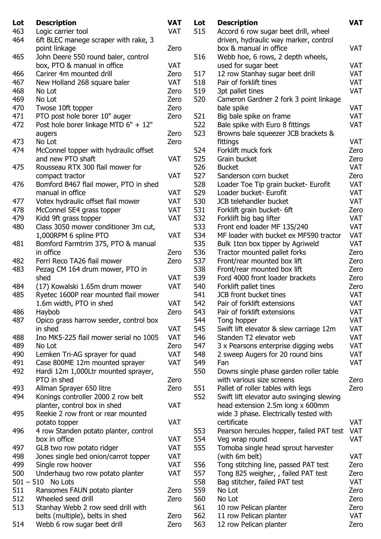| Lot | <b>Description</b>                     | <b>VAT</b> | Lot | <b>Description</b>                        | <b>VAT</b> |
|-----|----------------------------------------|------------|-----|-------------------------------------------|------------|
| 463 | Logic carrier tool                     | <b>VAT</b> | 515 | Accord 6 row sugar beet drill, wheel      |            |
| 464 | 6ft BLEC manege scraper with rake, 3   |            |     | driven, hydraulic way marker, control     |            |
|     | point linkage                          | Zero       |     | box & manual in office                    | VAT        |
| 465 | John Deere 550 round baler, control    |            | 516 | Webb hoe, 6 rows, 2 depth wheels,         |            |
|     | box, PTO & manual in office            | <b>VAT</b> |     | used for sugar beet                       | VAT        |
| 466 | Carirer 4m mounted drill               | Zero       | 517 | 12 row Stanhay sugar beet drill           | VAT        |
| 467 | New Holland 268 square baler           | <b>VAT</b> | 518 | Pair of forklift tines                    | VAT        |
| 468 | No Lot                                 | Zero       | 519 | 3pt pallet tines                          | VAT        |
| 469 | No Lot                                 | Zero       | 520 |                                           |            |
|     |                                        | Zero       |     | Cameron Gardner 2 fork 3 point linkage    | VAT        |
| 470 | Twose 10ft topper                      |            |     | bale spike                                |            |
| 471 | PTO post hole borer 10" auger          | Zero       | 521 | Big bale spike on frame                   | VAT        |
| 472 | Post hole borer linkage MTD 6" + 12"   |            | 522 | Bale spike with Euro 8 fittings           | VAT        |
|     | augers                                 | Zero       | 523 | Browns bale squeezer JCB brackets &       |            |
| 473 | No Lot                                 | Zero       |     | fittings                                  | <b>VAT</b> |
| 474 | McConnel topper with hydraulic offset  |            | 524 | Forklift muck fork                        | Zero       |
|     | and new PTO shaft                      | <b>VAT</b> | 525 | Grain bucket                              | Zero       |
| 475 | Rousseau RTX 300 flail mower for       |            | 526 | <b>Bucket</b>                             | <b>VAT</b> |
|     | compact tractor                        | <b>VAT</b> | 527 | Sanderson corn bucket                     | Zero       |
| 476 | Bomford B467 flail mower, PTO in shed  |            | 528 | Loader Toe Tip grain bucket- Eurofit      | VAT        |
|     | manual in office                       | <b>VAT</b> | 529 | Loader bucket- Eurofit                    | VAT        |
| 477 | Votex hydraulic offset flail mower     | <b>VAT</b> | 530 | JCB telehandler bucket                    | <b>VAT</b> |
| 478 | McConnel SE4 grass topper              | <b>VAT</b> | 531 | Forklift grain bucket- 6ft                | Zero       |
| 479 | Kidd 9ft grass topper                  | <b>VAT</b> | 532 | Forklift big bag lifter                   | <b>VAT</b> |
| 480 | Class 3050 mower conditioner 3m cut,   |            | 533 | Front end loader MF 135/240               | <b>VAT</b> |
|     | 1,000RPM 6 spline PTO                  | <b>VAT</b> | 534 | MF loader with bucket ex MF590 tractor    | VAT        |
| 481 | Bomford Farmtrim 375, PTO & manual     |            | 535 | Bulk 1ton box tipper by Agriweld          | <b>VAT</b> |
|     | in office                              | Zero       | 536 | Tractor mounted pallet forks              | Zero       |
| 482 | Ferri Reco TA26 flail mower            | Zero       | 537 | Front/rear mounted box lift               | Zero       |
| 483 | Pezag CM 164 drum mower, PTO in        |            | 538 | Front/rear mounted box lift               | Zero       |
|     | shed                                   | <b>VAT</b> | 539 | Ford 4000 front loader brackets           | Zero       |
| 484 | (17) Kowalski 1.65m drum mower         | <b>VAT</b> | 540 | Forklift pallet tines                     | Zero       |
| 485 | Ryetec 1600P rear mounted flail mower  |            | 541 | JCB front bucket tines                    | <b>VAT</b> |
|     | 1.6m width, PTO in shed                | VAT        | 542 | Pair of forklift extensions               | <b>VAT</b> |
| 486 | Haybob                                 | Zero       | 543 | Pair of forklift extensions               | VAT        |
| 487 | Opico grass harrow seeder, control box |            | 544 | Tong hopper                               | VAT        |
|     | in shed                                | <b>VAT</b> | 545 | Swift lift elevator & slew carriage 12m   | <b>VAT</b> |
| 488 | Ino MK5-225 flail mower serial no 1005 | <b>VAT</b> | 546 | Standen T2 elevator web                   | VAT        |
|     |                                        |            |     |                                           | VAT        |
| 489 | No Lot                                 | Zero       | 547 | 3 x Pearsons enterprise digging webs      |            |
| 490 | Lemken Tri-AG sprayer for quad         | VAT        | 548 | 2 sweep Augers for 20 round bins          | VAT        |
| 491 | Case 800ME 12m mounted sprayer         | <b>VAT</b> | 549 | Fan                                       | <b>VAT</b> |
| 492 | Hardi 12m 1,000Ltr mounted sprayer,    |            | 550 | Downs single phase garden roller table    |            |
|     | PTO in shed                            | Zero       |     | with various size screens                 | Zero       |
| 493 | Allman Sprayer 650 litre               | Zero       | 551 | Pallet of roller tables with legs         | Zero       |
| 494 | Konings controller 2000 2 row belt     |            | 552 | Swift lift elevator auto swinging slewing |            |
|     | planter, control box in shed           | <b>VAT</b> |     | head extension 2.5m long x 600mm          |            |
| 495 | Reekie 2 row front or rear mounted     |            |     | wide 3 phase. Electrically tested with    |            |
|     | potato topper                          | <b>VAT</b> |     | certificate                               | <b>VAT</b> |
| 496 | 4 row Standen potato planter, control  |            | 553 | Pearson hercules hopper, failed PAT test  | <b>VAT</b> |
|     | box in office                          | <b>VAT</b> | 554 | Veg wrap round                            | <b>VAT</b> |
| 497 | GLB two row potato ridger              | <b>VAT</b> | 555 | Tomoba single head sprout harvester       |            |
| 498 | Jones single bed onion/carrot topper   | <b>VAT</b> |     | (with 6m belt)                            | <b>VAT</b> |
| 499 | Single row hoover                      | <b>VAT</b> | 556 | Tong stitching line, passed PAT test      | Zero       |
| 500 | Underhaug two row potato planter       | <b>VAT</b> | 557 | Tong 825 weigher, , failed PAT test       | Zero       |
|     | $501 - 510$ No Lots                    |            | 558 | Bag stitcher, failed PAT test             | <b>VAT</b> |
| 511 | Ransomes FAUN potato planter           | Zero       | 559 | No Lot                                    | Zero       |
| 512 | Wheeled seed drill                     | Zero       | 560 | No Lot                                    | Zero       |
| 513 | Stanhay Webb 2 row seed drill with     |            | 561 | 10 row Pelican planter                    | Zero       |
|     | belts (multiple), belts in shed        | Zero       | 562 | 11 row Pelican planter                    | <b>VAT</b> |
| 514 | Webb 6 row sugar beet drill            | Zero       | 563 | 12 row Pelican planter                    | Zero       |
|     |                                        |            |     |                                           |            |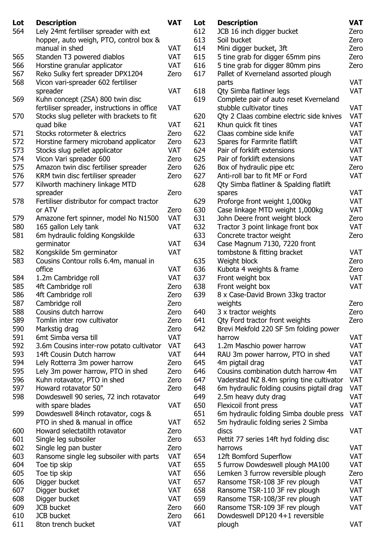| Lot | <b>Description</b>                          | <b>VAT</b> | Lot | <b>Description</b>                        | <b>VAT</b> |
|-----|---------------------------------------------|------------|-----|-------------------------------------------|------------|
| 564 | Lely 24mt fertiliser spreader with ext      |            | 612 | JCB 16 inch digger bucket                 | Zero       |
|     | hopper, auto weigh, PTO, control box &      |            | 613 | Soil bucket                               | Zero       |
|     | manual in shed                              | <b>VAT</b> | 614 | Mini digger bucket, 3ft                   | Zero       |
| 565 | Standen T3 powered diablos                  | <b>VAT</b> | 615 | 5 tine grab for digger 65mm pins          | Zero       |
| 566 | Horstine granular applicator                | <b>VAT</b> | 616 | 5 tine grab for digger 80mm pins          | Zero       |
| 567 | Reko Sulky fert spreader DPX1204            | Zero       | 617 | Pallet of Kverneland assorted plough      |            |
| 568 | Vicon vari-spreader 602 fertiliser          |            |     | parts                                     | <b>VAT</b> |
|     | spreader                                    | <b>VAT</b> | 618 | Qty Simba flatliner legs                  | <b>VAT</b> |
| 569 | Kuhn concept (ZSA) 800 twin disc            |            | 619 | Complete pair of auto reset Kverneland    |            |
|     | fertiliser spreader, instructions in office | <b>VAT</b> |     | stubble cultivator tines                  | <b>VAT</b> |
| 570 | Stocks slug pelleter with brackets to fit   |            | 620 | Qty 2 Claas combine electric side knives  | <b>VAT</b> |
|     | quad bike                                   | <b>VAT</b> | 621 | Khun quick fit tines                      | <b>VAT</b> |
| 571 | Stocks rotormeter & electrics               | Zero       | 622 | Claas combine side knife                  | <b>VAT</b> |
| 572 | Horstine farmery microband applicator       | Zero       | 623 | Spares for Farmrite flatlift              | <b>VAT</b> |
| 573 | Stocks slug pellet applicator               | <b>VAT</b> | 624 | Pair of forklift extensions               | <b>VAT</b> |
| 574 | Vicon Vari spreader 600                     | Zero       | 625 | Pair of forklift extensions               | <b>VAT</b> |
| 575 | Amazon twin disc fertiliser spreader        | Zero       | 626 | Box of hydraulic pipe etc                 | Zero       |
| 576 | KRM twin disc fertiliser spreader           | Zero       | 627 | Anti-roll bar to fit MF or Ford           | <b>VAT</b> |
| 577 | Kilworth machinery linkage MTD              |            | 628 | Qty Simba flatliner & Spalding flatlift   |            |
|     | spreader                                    | Zero       |     | spares                                    | <b>VAT</b> |
| 578 | Fertiliser distributor for compact tractor  |            | 629 | Proforge front weight 1,000kg             | <b>VAT</b> |
|     | or ATV                                      | Zero       | 630 | Case linkage MTD weight 1,000kg           | <b>VAT</b> |
| 579 | Amazone fert spinner, model No N1500        | <b>VAT</b> | 631 | John Deere front weight block             | Zero       |
| 580 | 165 gallon Lely tank                        | <b>VAT</b> | 632 | Tractor 3 point linkage front box         | <b>VAT</b> |
| 581 | 6m hydraulic folding Kongskilde             |            | 633 | Concrete tractor weight                   | Zero       |
|     | germinator                                  | <b>VAT</b> | 634 | Case Magnum 7130, 7220 front              |            |
| 582 | Kongskilde 5m germinator                    | <b>VAT</b> |     | tombstone & fitting bracket               | <b>VAT</b> |
| 583 | Cousins Contour rolls 6.4m, manual in       |            | 635 | Weight block                              | Zero       |
|     | office                                      | <b>VAT</b> | 636 | Kubota 4 weights & frame                  | Zero       |
| 584 | 1.2m Cambridge roll                         | <b>VAT</b> | 637 | Front weight box                          | <b>VAT</b> |
| 585 | 4ft Cambridge roll                          | Zero       | 638 | Front weight box                          | <b>VAT</b> |
| 586 | 4ft Cambridge roll                          | Zero       | 639 | 8 x Case-David Brown 33kg tractor         |            |
| 587 | Cambridge roll                              | Zero       |     | weights                                   | Zero       |
| 588 | Cousins dutch harrow                        | Zero       | 640 | 3 x tractor weights                       | Zero       |
| 589 | Tomlin inter row cultivator                 | Zero       | 641 | Qty Ford tractor front weights            | Zero       |
| 590 | Markstig drag                               | Zero       | 642 | Brevi Mekfold 220 SF 5m folding power     |            |
| 591 | 6mt Simba versa till                        | <b>VAT</b> |     | harrow                                    | <b>VAT</b> |
| 592 | 3.6m Cousins inter-row potato cultivator    | <b>VAT</b> | 643 | 1.2m Maschio power harrow                 | VAT        |
| 593 | 14ft Cousin Dutch harrow                    | <b>VAT</b> | 644 | RAU 3m power harrow, PTO in shed          | <b>VAT</b> |
| 594 | Lely Rotterra 3m power harrow               | Zero       | 645 | 4m pigtail drag                           | <b>VAT</b> |
| 595 | Lely 3m power harrow, PTO in shed           | Zero       | 646 | Cousins combination dutch harrow 4m       | <b>VAT</b> |
| 596 | Kuhn rotavator, PTO in shed                 | Zero       | 647 | Vaderstad NZ 8.4m spring tine cultivator  | VAT        |
| 597 | Howard rotavator 50"                        | Zero       | 648 | 6m hydraulic folding cousins pigtail drag | VAT        |
| 598 | Dowdeswell 90 series, 72 inch rotavator     |            | 649 | 2.5m heavy duty drag                      | <b>VAT</b> |
|     | with spare blades                           | <b>VAT</b> | 650 | Flexicoil front press                     | <b>VAT</b> |
| 599 | Dowdeswell 84 inch rotavator, cogs &        |            | 651 | 6m hydraulic folding Simba double press   | <b>VAT</b> |
|     | PTO in shed & manual in office              | <b>VAT</b> | 652 | 5m hydraulic folding series 2 Simba       |            |
| 600 | Howard selectatilth rotavator               | Zero       |     | discs                                     | <b>VAT</b> |
| 601 | Single leg subsoiler                        | Zero       | 653 | Pettit 77 series 14ft hyd folding disc    |            |
| 602 | Single leg pan buster                       | Zero       |     | harrows                                   | <b>VAT</b> |
| 603 | Ransome single leg subsoiler with parts     | <b>VAT</b> | 654 | 12ft Bomford Superflow                    | <b>VAT</b> |
| 604 | Toe tip skip                                | <b>VAT</b> | 655 | 5 furrow Dowdeswell plough MA100          | <b>VAT</b> |
| 605 | Toe tip skip                                | <b>VAT</b> | 656 | Lemken 3 furrow reversible plough         | Zero       |
| 606 | Digger bucket                               | <b>VAT</b> | 657 | Ransome TSR-108 3F rev plough             | <b>VAT</b> |
| 607 | Digger bucket                               | <b>VAT</b> | 658 | Ransome TSR-110 3F rev plough             | <b>VAT</b> |
| 608 | Digger bucket                               | <b>VAT</b> | 659 | Ransome TSR-108/3F rev plough             | <b>VAT</b> |
| 609 | <b>JCB</b> bucket                           | Zero       | 660 | Ransome TSR-109 3F rev plough             | <b>VAT</b> |
| 610 | JCB bucket                                  | Zero       | 661 | Dowdeswell DP120 4+1 reversible           |            |
| 611 | 8ton trench bucket                          | VAT        |     | plough                                    | <b>VAT</b> |
|     |                                             |            |     |                                           |            |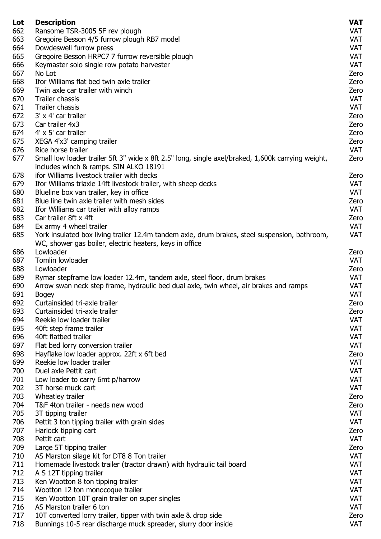| Lot | <b>Description</b>                                                                                                                                       | <b>VAT</b> |
|-----|----------------------------------------------------------------------------------------------------------------------------------------------------------|------------|
| 662 | Ransome TSR-3005 5F rev plough                                                                                                                           | <b>VAT</b> |
| 663 | Gregoire Besson 4/5 furrow plough RB7 model                                                                                                              | <b>VAT</b> |
| 664 | Dowdeswell furrow press                                                                                                                                  | <b>VAT</b> |
| 665 | Gregoire Besson HRPC7 7 furrow reversible plough                                                                                                         | <b>VAT</b> |
| 666 | Keymaster solo single row potato harvester                                                                                                               | <b>VAT</b> |
| 667 | No Lot                                                                                                                                                   | Zero       |
| 668 | Ifor Williams flat bed twin axle trailer                                                                                                                 | Zero       |
| 669 | Twin axle car trailer with winch                                                                                                                         | Zero       |
| 670 | Trailer chassis                                                                                                                                          | <b>VAT</b> |
| 671 | Trailer chassis                                                                                                                                          | <b>VAT</b> |
| 672 | 3' x 4' car trailer                                                                                                                                      |            |
|     |                                                                                                                                                          | Zero       |
| 673 | Car trailer 4x3                                                                                                                                          | Zero       |
| 674 | 4' x 5' car trailer                                                                                                                                      | Zero       |
| 675 | XEGA 4'x3' camping trailer                                                                                                                               | Zero       |
| 676 | Rice horse trailer                                                                                                                                       | <b>VAT</b> |
| 677 | Small low loader trailer 5ft 3" wide x 8ft 2.5" long, single axel/braked, 1,600k carrying weight,<br>includes winch & ramps. SIN ALKO 18191              | Zero       |
| 678 | ifor Williams livestock trailer with decks                                                                                                               | Zero       |
| 679 | Ifor Williams triaxle 14ft livestock trailer, with sheep decks                                                                                           | <b>VAT</b> |
| 680 | Blueline box van trailer, key in office                                                                                                                  | <b>VAT</b> |
| 681 | Blue line twin axle trailer with mesh sides                                                                                                              | Zero       |
| 682 | Ifor Williams car trailer with alloy ramps                                                                                                               | <b>VAT</b> |
| 683 | Car trailer 8ft x 4ft                                                                                                                                    | Zero       |
| 684 | Ex army 4 wheel trailer                                                                                                                                  | <b>VAT</b> |
| 685 | York insulated box living trailer 12.4m tandem axle, drum brakes, steel suspension, bathroom,<br>WC, shower gas boiler, electric heaters, keys in office | <b>VAT</b> |
| 686 | Lowloader                                                                                                                                                | Zero       |
| 687 | Tomlin lowloader                                                                                                                                         | <b>VAT</b> |
| 688 | Lowloader                                                                                                                                                | Zero       |
| 689 |                                                                                                                                                          |            |
|     | Rymar stepframe low loader 12.4m, tandem axle, steel floor, drum brakes                                                                                  | VAT        |
| 690 | Arrow swan neck step frame, hydraulic bed dual axle, twin wheel, air brakes and ramps                                                                    | <b>VAT</b> |
| 691 | <b>Bogey</b>                                                                                                                                             | <b>VAT</b> |
| 692 | Curtainsided tri-axle trailer                                                                                                                            | Zero       |
| 693 | Curtainsided tri-axle trailer                                                                                                                            | Zero       |
| 694 | Reekie low loader trailer                                                                                                                                | <b>VAT</b> |
| 695 | 40ft step frame trailer                                                                                                                                  | <b>VAT</b> |
| 696 | 40ft flatbed trailer                                                                                                                                     | <b>VAT</b> |
| 697 | Flat bed lorry conversion trailer                                                                                                                        | <b>VAT</b> |
| 698 | Hayflake low loader approx. 22ft x 6ft bed                                                                                                               | Zero       |
| 699 | Reekie low loader trailer                                                                                                                                | <b>VAT</b> |
| 700 | Duel axle Pettit cart                                                                                                                                    | VAT        |
| 701 | Low loader to carry 6mt p/harrow                                                                                                                         | <b>VAT</b> |
| 702 | 3T horse muck cart                                                                                                                                       | <b>VAT</b> |
| 703 | Wheatley trailer                                                                                                                                         | Zero       |
| 704 | T&F 4ton trailer - needs new wood                                                                                                                        | Zero       |
| 705 | 3T tipping trailer                                                                                                                                       | <b>VAT</b> |
| 706 | Pettit 3 ton tipping trailer with grain sides                                                                                                            | <b>VAT</b> |
| 707 | Harlock tipping cart                                                                                                                                     | Zero       |
| 708 | Pettit cart                                                                                                                                              | <b>VAT</b> |
| 709 |                                                                                                                                                          | Zero       |
|     | Large 5T tipping trailer                                                                                                                                 |            |
| 710 | AS Marston silage kit for DT8 8 Ton trailer                                                                                                              | <b>VAT</b> |
| 711 | Homemade livestock trailer (tractor drawn) with hydraulic tail board                                                                                     | <b>VAT</b> |
| 712 | A S 12T tipping trailer                                                                                                                                  | <b>VAT</b> |
| 713 | Ken Wootton 8 ton tipping trailer                                                                                                                        | <b>VAT</b> |
| 714 | Wootton 12 ton monocoque trailer                                                                                                                         | <b>VAT</b> |
| 715 | Ken Wootton 10T grain trailer on super singles                                                                                                           | <b>VAT</b> |
| 716 | AS Marston trailer 6 ton                                                                                                                                 | <b>VAT</b> |
| 717 | 10T converted lorry trailer, tipper with twin axle & drop side                                                                                           | Zero       |
| 718 | Bunnings 10-5 rear discharge muck spreader, slurry door inside                                                                                           | <b>VAT</b> |